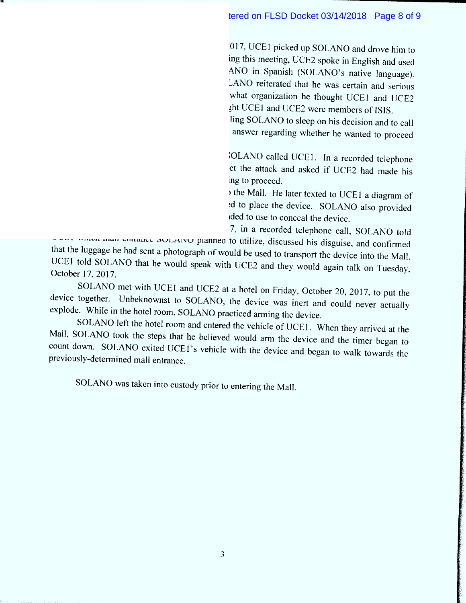In a recorded meeting on October 13, 2017, UCE1 picked up SOLANO and drove him to a hotel room in order to meet with UCEZ. During this meeting, UCE2 spoke in English and used UCE1 as a translator to converse with SOLANO in Spanish (SOLANO's native language). During the initial portion of the meeting, SOLANO reiterated that he was certain and serious about his attack plan. SOLANO was asked what organization he thought UCE1 and UCE2 belonged to. SOLANO responded that he thought UCE1 and UCE2 were members of ISIS.

The meeting concluded with UCE2's telling SOLANO to sleep on his decision and to call UCEI the next moming with his (SOLANO'S) answer regarding whether he wanted to proceed with the attack.

On the morning of October 14, 2017, SOLANO called UCE1. In a recorded telephone call, SOLANO confirmed his desire to conduct the attack and asked if  $UCF2$  had made his decision. UCE1 confirmed that UCE2 was willing to proceed.

Later that evening, SOLANO traveled to the Mall. He later texted to UCE1 a diagram of the food court inside the mall where he planned to place the device. SOLANO also provided UCEI with a photograph of the luggage he intended to use to conceal the device.

The next morning, on October 15, 2017, in a recorded telephone call, SOLANO told UCE1 which mall entrance SOLANO planned to utilize, discussed his disguise, and confirmed that the luggage he had sent a photograph of would be used to transport the device into the Mall. UCE1 told SOLANO that he would speak with UCE2 and they would again talk on Tuesday October 17, 2017.

SOLANO met with UCE1 and UCE2 at a hotel on Friday, October 20, 2017, to put the SOLANO met with UCET and UCE2 at a hotel on Friday, October 20, 2017, to put the device together. Unbeknownst to SOLANO, the device was inert and could never actually explode. While in the hotel room, SOLANO practiced arming the device.

SOLANO left the hotel room and entered the vehicle of UCE1. When they arrived at the Mall, SOLANO took the steps that he believed would arm the device and the timer began to count down. SOLANO exited UCEI'S vehicle with the d evice and began to walk towards the previously-determined mall entrance.

SOLANO was taken into custody prior to entering the M all.